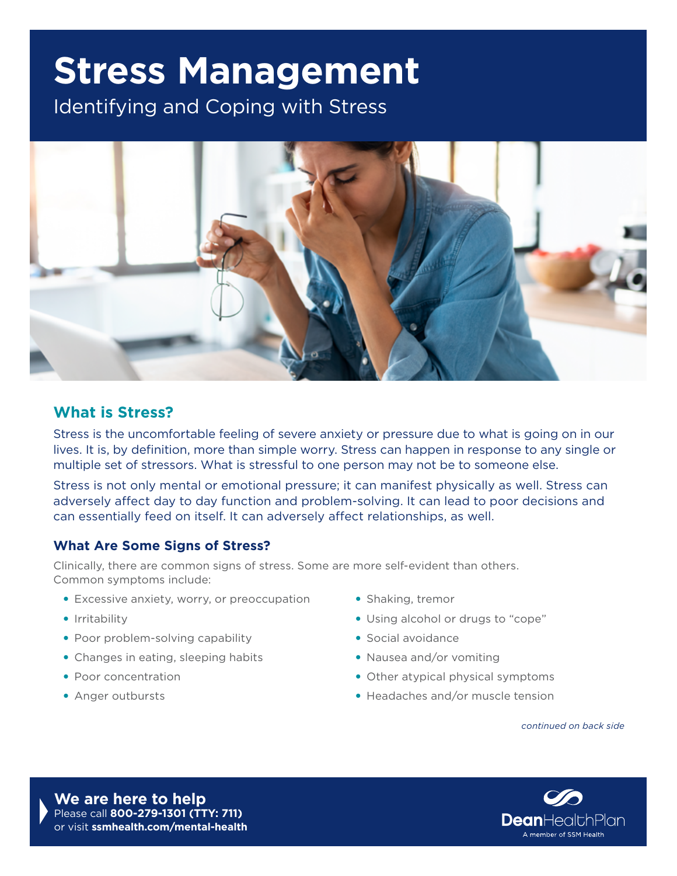# **Stress Management**

Identifying and Coping with Stress



### **What is Stress?**

Stress is the uncomfortable feeling of severe anxiety or pressure due to what is going on in our lives. It is, by definition, more than simple worry. Stress can happen in response to any single or multiple set of stressors. What is stressful to one person may not be to someone else.

Stress is not only mental or emotional pressure; it can manifest physically as well. Stress can adversely affect day to day function and problem-solving. It can lead to poor decisions and can essentially feed on itself. It can adversely affect relationships, as well.

#### **What Are Some Signs of Stress?**

Clinically, there are common signs of stress. Some are more self-evident than others. Common symptoms include:

- Excessive anxiety, worry, or preoccupation
- Irritability
- Poor problem-solving capability
- Changes in eating, sleeping habits
- Poor concentration
- Anger outbursts
- Shaking, tremor
- Using alcohol or drugs to "cope"
- Social avoidance
- Nausea and/or vomiting
- Other atypical physical symptoms
- Headaches and/or muscle tension

*continued on back side*

**We are here to help** Please call **800-279-1301 (TTY: 711)**  or visit **[ssmhealth.com/mental-health](http://ssmhealth.com/mental-health)**